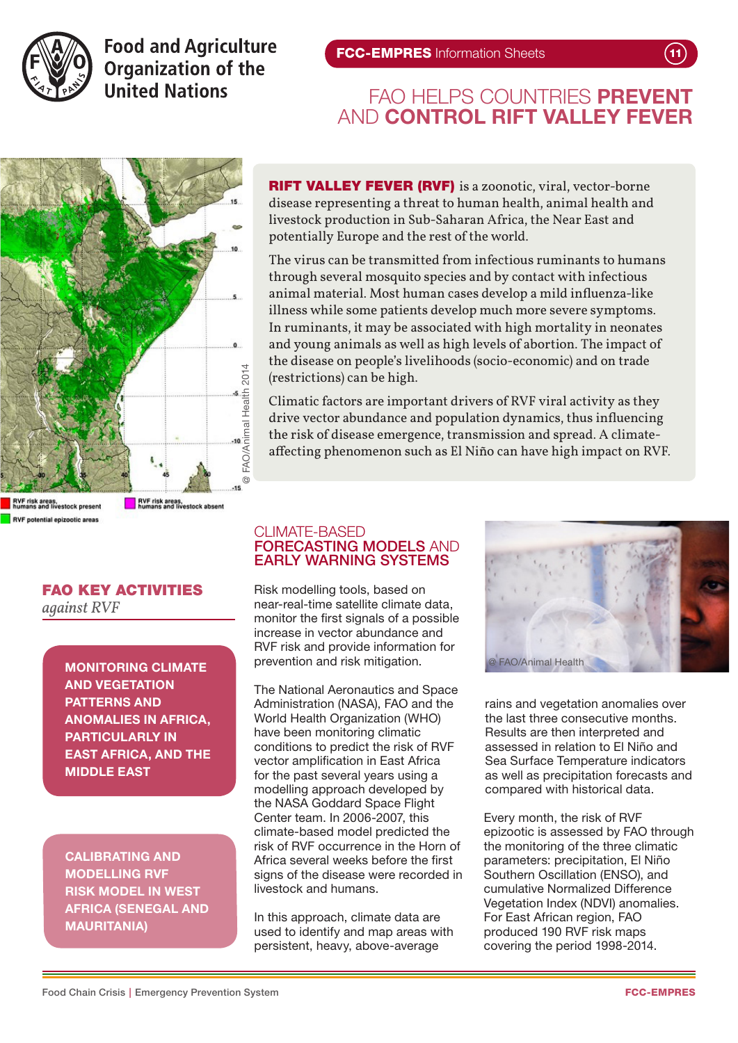

**Food and Agriculture Organization of the United Nations** 

## FAO HELPS COUNTRIES PREVENT AND **CONTROL RIFT VALLEY FEVER**



RIFT VALLEY FEVER (RVF) is a zoonotic, viral, vector-borne disease representing a threat to human health, animal health and livestock production in Sub-Saharan Africa, the Near East and potentially Europe and the rest of the world.

The virus can be transmitted from infectious ruminants to humans through several mosquito species and by contact with infectious animal material. Most human cases develop a mild influenza-like illness while some patients develop much more severe symptoms. In ruminants, it may be associated with high mortality in neonates and young animals as well as high levels of abortion. The impact of the disease on people's livelihoods (socio-economic) and on trade (restrictions) can be high.

Climatic factors are important drivers of RVF viral activity as they drive vector abundance and population dynamics, thus influencing the risk of disease emergence, transmission and spread. A climateaffecting phenomenon such as El Niño can have high impact on RVF.

RVF risk areas,<br>humans and livestock present **RVF potential epizootic areas** 

RVF risk areas,<br>humans and livestock absent

# FAO KEY ACTIVITIES

*against RVF* 

MONITORING CLIMATE AND VEGETATION PATTERNS AND ANOMALIES IN AFRICA, PARTICULARLY IN EAST AFRICA, AND THE MIDDLE EAST

CALIBRATING AND MODELLING RVF RISK MODEL IN WEST AFRICA (SENEGAL AND MAURITANIA)

## CLIMATE-BASED FORECASTING MODELS AND EARLY WARNING SYSTEMS

Risk modelling tools, based on near-real-time satellite climate data, monitor the first signals of a possible increase in vector abundance and RVF risk and provide information for prevention and risk mitigation.

The National Aeronautics and Space Administration (NASA), FAO and the World Health Organization (WHO) have been monitoring climatic conditions to predict the risk of RVF vector amplification in East Africa for the past several years using a modelling approach developed by the NASA Goddard Space Flight Center team. In 2006-2007, this climate-based model predicted the risk of RVF occurrence in the Horn of Africa several weeks before the first signs of the disease were recorded in livestock and humans.

In this approach, climate data are used to identify and map areas with persistent, heavy, above-average



rains and vegetation anomalies over the last three consecutive months. Results are then interpreted and assessed in relation to El Niño and Sea Surface Temperature indicators as well as precipitation forecasts and compared with historical data.

Every month, the risk of RVF epizootic is assessed by FAO through the monitoring of the three climatic parameters: precipitation, El Niño Southern Oscillation (ENSO), and cumulative Normalized Difference Vegetation Index (NDVI) anomalies. For East African region, FAO produced 190 RVF risk maps covering the period 1998-2014.